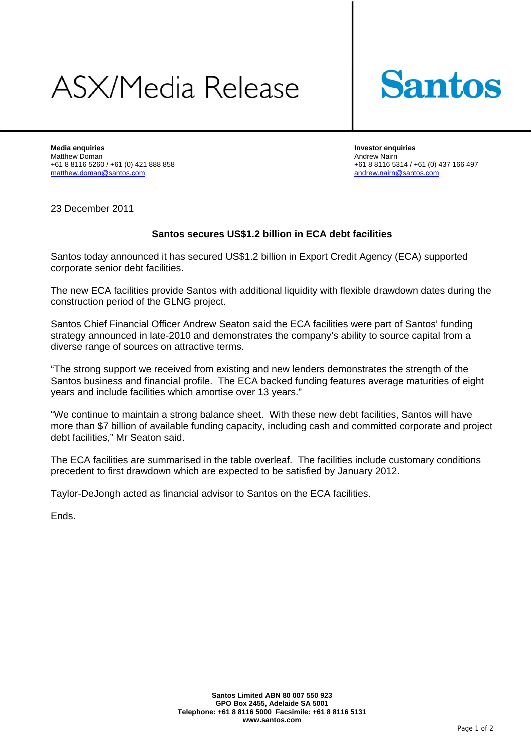## **ASX/Media Release**



**Media enquiries Investor enquiries**  Matthew Doman <br>
+61 8 8116 5260 / +61 (0) 421 888 858 <br>
+61 8 8116 53 matthew.doman@santos.com and andrew.nairn@santos.com

+61 8 8116 5314 / +61 (0) 437 166 497

23 December 2011

## **Santos secures US\$1.2 billion in ECA debt facilities**

Santos today announced it has secured US\$1.2 billion in Export Credit Agency (ECA) supported corporate senior debt facilities.

The new ECA facilities provide Santos with additional liquidity with flexible drawdown dates during the construction period of the GLNG project.

Santos Chief Financial Officer Andrew Seaton said the ECA facilities were part of Santos' funding strategy announced in late-2010 and demonstrates the company's ability to source capital from a diverse range of sources on attractive terms.

"The strong support we received from existing and new lenders demonstrates the strength of the Santos business and financial profile. The ECA backed funding features average maturities of eight years and include facilities which amortise over 13 years."

"We continue to maintain a strong balance sheet. With these new debt facilities, Santos will have more than \$7 billion of available funding capacity, including cash and committed corporate and project debt facilities," Mr Seaton said.

The ECA facilities are summarised in the table overleaf. The facilities include customary conditions precedent to first drawdown which are expected to be satisfied by January 2012.

Taylor-DeJongh acted as financial advisor to Santos on the ECA facilities.

Ends.